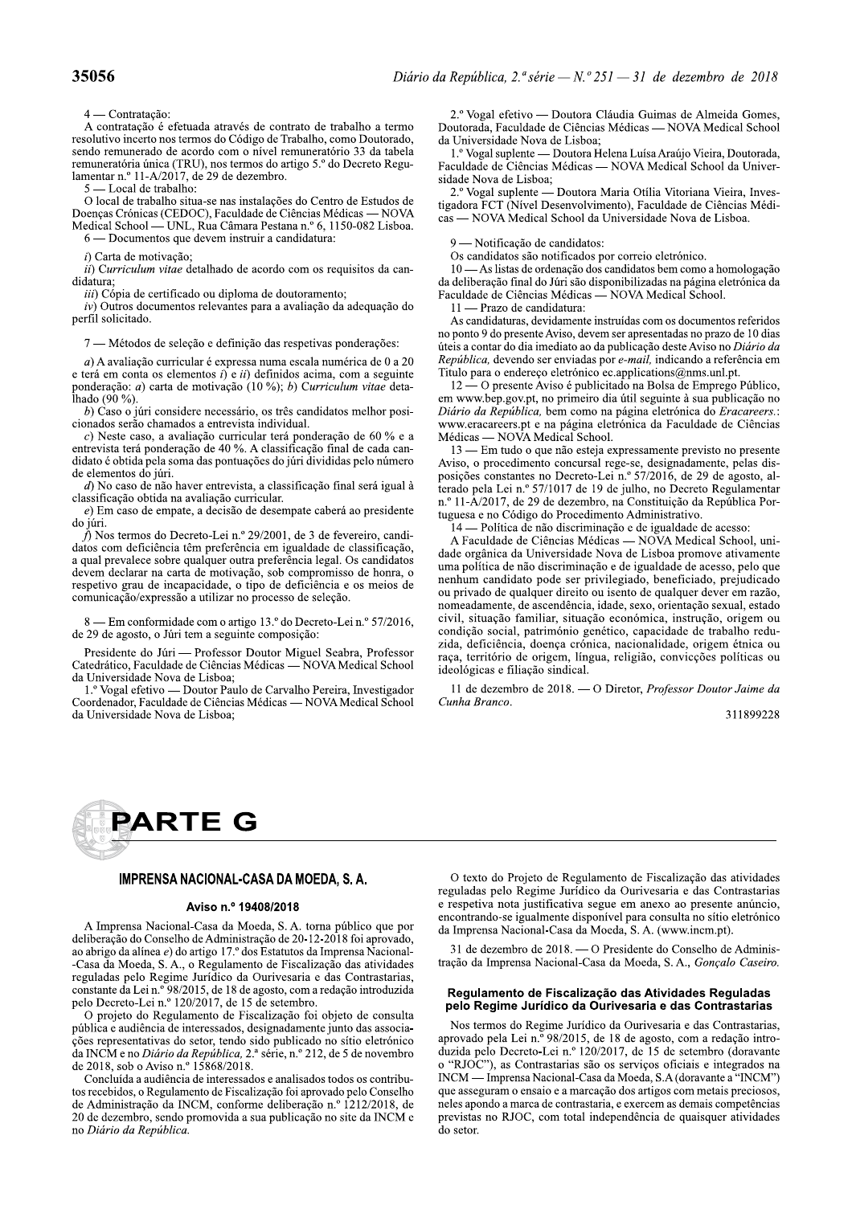vitae detalhado de acordo com os requisitos da can-

iamenta in 11- $N_2$ 2017, de 29 de dezenibilo.<br>
5 — Local de trabalho:<br>
0 local de trabalho situa-se nas instalações do Centro de Estudos de<br>
Doenqas Crônicas (CEDOC), Faculdade de Ciências Médicas — NOVA<br>
Medical School e terá em conta os elementos  $i$ ) e  $ii$ ) definidos acima, com a seguinte ponderação: *a*) carta de motivação (10 %); *b*) Curriculum vitae detae detamado de acordo com os requisitos da can-<br>cado ou diploma de doutoramento;<br>tos relevantes para a avaliação da adequação do<br>leção e definição das respetivas ponderações:<br>cular é expressa numa escala numérica de 0 a 20<br> *in*) Copar de certineado ou diploma de doutoramento;<br> *iv*) Outros documentos relevantes para a avaliação da adequação do<br>
perfil solicitado.<br>
7 — Métodos de seleção e definição das respetivas ponderações:<br> *a*) A avalia

datos com deficiência têm preferência em igualdade de classificação, a qual prevalece sobre qualquer outra preferência legal. Os candidatos devem declarar na carta de motivação, sob compromisso de honra, o respetivo grau de incapacidade, o tipo de deficiência e os meios de comunicação/expressão a utilizar no processo de seleção. a qual prevalecta ten preferencia en iguadade de cassinucação,<br>a qual prevalece sobre qualquer outra preferência legal. Os candidatos<br>devem declarar na carta de motivação, sob compromisso de horra, o<br>respetivo gran de inca

8 — Em conformidade com o artigo 13.º do Decreto-Lei n.º 57/2016, de 29 de agosto, o Júri tem a seguinte composição:

**35056**<br> **Diário da República, 2." série — N." 251 — 31 de dezembro de 2018<br>
4 — Continuição:<br>
A contrado é cortinuo de Tabalho, sumo Doutomão, da Universidade Nova de Lisbar.<br>
Nesta de America Secondo de Tabalho sumo Dou** Diário da República, 2.ª série — N.º 251 — 31 de dezembro de 2018<br>
2.º Vogal efetivo — Doutora Cláudia Guimas de Almeida Gomes,<br>
boutorada, Faculdade de Ciências Médicas — NOVA Medical School<br>
da tabela<br>
1.º Vogal supleme úteis a contar do dia imediato ao da publicação deste Aviso no Diário da Republica, devendo ser enviadas por *e-mail*, indicando a referência em Titulo para o endereço eletrónico ec.applications@nms.unl.pt.

 $\overline{\phantom{a}}$  O presente Áviso é publicitado na Bolsa de Emprego Público, em www.bep.gov.pt, no primeiro dia útil seguinte à sua publicação no Diario da R

(azio de 11—1 razzo de candidaria:<br>
As candidaturas, devidamente instruídas com os documentos referidos<br>
des:<br>
no paro 0 do presente Aviso, devem ser apresentadas no prazo de 10 dias<br>
dieis a contar do dia imediato ao de ideológicas e filiação sindical.

> $\Pi$  de dezembro de 2018. — O Diretor, *Professor Doutor Jaime da* Cunha Branco.

311899228



### IMPRENSA NACIONAL-CASA DA MOEDA, S.A.

¡¢£¤¡¢ 0%p<h+3)8,%\,1=(),:M',8,%6,%[(36,A%^K%0K%\*(+),%hE9:=1(%c53%h(+% 63:=93+,-.(%6(%'()83:;(%63%06<=)=8\*+,-.(%63%PQ%MNP%MPQNb%4(=%,h+(7,6(A% ,(%,9+=?(%6,%,:C)3,%I%6(%,+\*=?(%NRKL%6(8%X8\*,\*5\*(8%6,%p<h+3)8,%\,1=(),:M M',8,%6,%[(36,A%^K%0KA%(%G3?5:,<3)\*(%63%Y=81,:=T,-.(%6,8%,\*=7=6,638% +3?5:,6,8%h3:(%G3?=<3%o5+C6=1(%6,%V5+=738,+=,%3%6,8%'()\*+,8\*,+=,8A% 1()8\*,)\*3%6,%U3=%)KL%SbOPQNJA%63%Nb%63%,?(8\*(A%1(<%,%+36,-.(%=)\*+(65T=6,% h3:(%B31+3\*(%MU3=%)KL%NPQOPQNRA%63%NJ%63%83\*3<9+(K V%h+(l3\*(%6(%G3?5:,<3)\*(%63%Y=81,:=T,-.(%4(=%(9l3\*(%63%1()85:\*,% hE9:=1,%3%,56=Z)1=,%63%=)\*3+388,6(8A%638=?),6,<3)\*3%l5)\*(%6,8%,88(1=,M -W38%+3h+383)\*,\*=7,8%6(%83\*(+A%\*3)6(%8=6(%h59:=1,6(%)(%8C\*=(%3:3\*+>)=1(% 6,%p\'[%3%)(% 

*da Republica, 2.* serie, n.º 212, de 5 de novembro Casa da Moeda, S. A., o Regulamento de Fiscalização das atividades<br>
reguladas pelo Regime Jurídico da Ourivesaria e das Contrastarias,<br>
constante da Lei n.º 98/2015, de 18 de agosto, com a redação introduzida<br>
pelo Decret

da República.

tração da Imprensa Nacional-Casa da Moeda, S. A., Gonçalo Caseiro.

# Regulamento de Fiscalização das Atividades Reguladas<br>pelo Regime Jurídico da Ourivesaria e das Contrastarias

O texto do Projeto de Regulamento de Fiscalização das atividades<br>reguladas pelo Regime Jurídico da Ourivesaria e das Contrastarias<br>e respetiva nota justificativa segue em anexo ao presente anúncio,<br>encontrando-se igualment público que por encontrando-se igualmente disponível para consulta no sitio eletrónico<br>
118 foi aprovado,<br>
118 foi aprovado, al Imprensa Nacional-Casa da Moeda, S. A. (www.incm.pt).<br>
prensa Nacional-Casa da Moeda, S. A. (w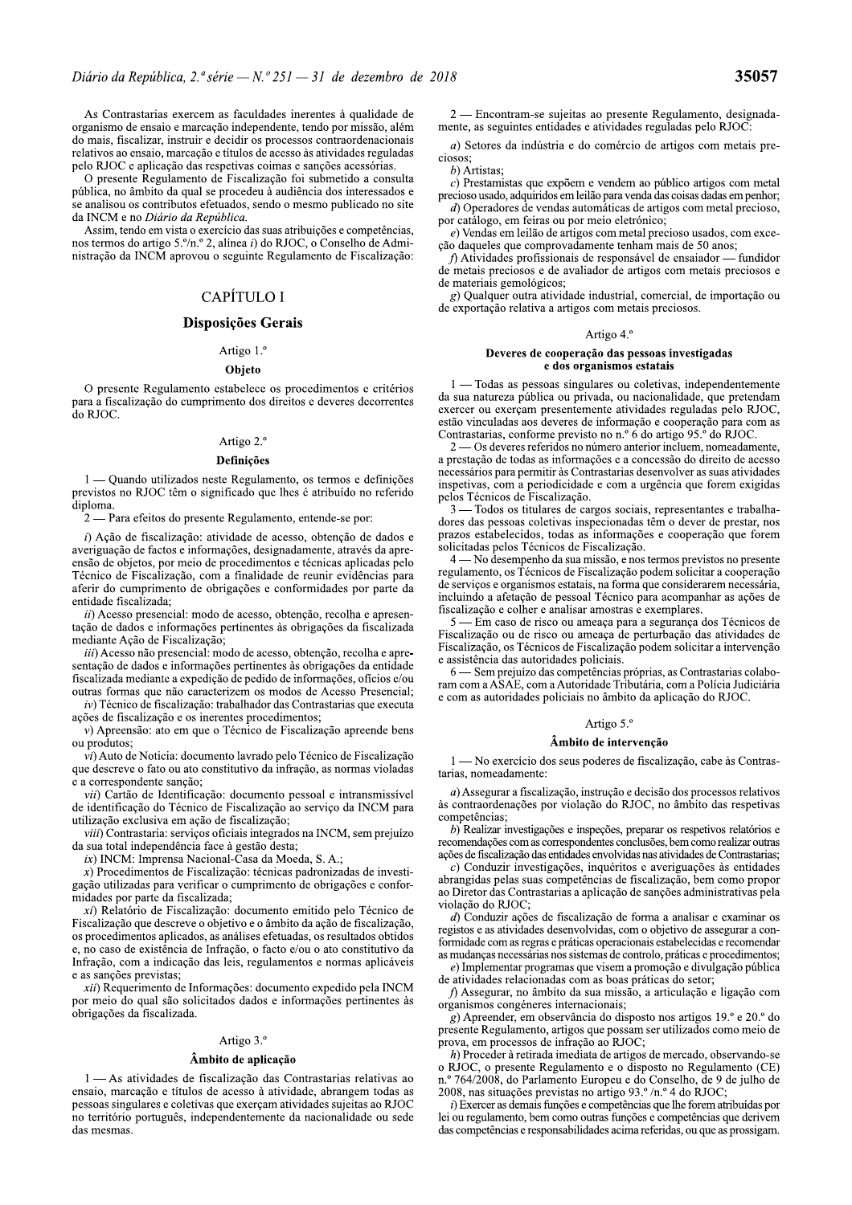As Contrastarias exercem as faculdades inerentes à qualidade de organismo de ensaio e marcação independente, tendo por missão, além do mais, fiscalizar, instruir e decidir os processos contraordenacionais relativos ao ensaio, marcação e títulos de acesso às atividades reguladas pelo RJOC e aplicação das respetivas coimas e sanções acessórias.

O presente Regulamento de Fiscalização foi submetido a consulta pública, no âmbito da qual se procedeu à audiência dos interessados e se analisou os contributos efetuados, sendo o mesmo publicado no site da INCM e no Diário da República.

Assim, tendo em vista o exercício das suas atribuições e competências, nos termos do artigo 5.º/n.º 2, alínea i) do RJOC, o Conselho de Administração da INCM aprovou o seguinte Regulamento de Fiscalização:

# CAPÍTULO I

### Disposições Gerais

# Artigo 1.º Objeto

O presente Regulamento estabelece os procedimentos e critérios para a fiscalização do cumprimento dos direitos e deveres decorrentes do RJOC.

### Artigo 2.º

### **Definicões**

1 — Quando utilizados neste Regulamento, os termos e definições previstos no RJOC têm o significado que lhes é atribuído no referido diploma.

 $2$  — Para efeitos do presente Regulamento, entende-se por:

i) Ação de fiscalização: atividade de acesso, obtenção de dados e averiguação de factos e informações, designadamente, através da apreensão de objetos, por meio de procedimentos e técnicas aplicadas pelo Técnico de Fiscalização, com a finalidade de reunir evidências para aferir do cumprimento de obrigações e conformidades por parte da entidade fiscalizada;

ii) Acesso presencial: modo de acesso, obtenção, recolha e apresentação de dados e informações pertinentes às obrigações da fiscalizada mediante Ação de Fiscalização:

iii) Acesso não presencial: modo de acesso, obtenção, recolha e apresentação de dados e informações pertinentes às obrigações da entidade fiscalizada mediante a expedição de pedido de informações, ofícios e/ou outras formas que não caracterizem os modos de Acesso Presencial:

 $iv$ ) Técnico de fiscalização: trabalhador das Contrastarias que executa ações de fiscalização e os inerentes procedimentos;

 $\nu$ ) Apreensão: ato em que o Técnico de Fiscalização apreende bens ou produtos;

vi) Auto de Noticia: documento lavrado pelo Técnico de Fiscalização que descreve o fato ou ato constitutivo da infração, as normas violadas e a correspondente sanção;

vii) Cartão de Identificação: documento pessoal e intransmissível de identificação do Técnico de Fiscalização ao serviço da INCM para utilização exclusiva em ação de fiscalização;

viii) Contrastaria: serviços oficiais integrados na INCM, sem prejuízo da sua total independência face à gestão desta;

 $ix$ ) INCM: Imprensa Nacional-Casa da Moeda, S. A.;

 $x)$  Procedimentos de Fiscalização: técnicas padronizadas de investigação utilizadas para verificar o cumprimento de obrigações e conformidades por parte da fiscalizada;

xi) Relatório de Fiscalização: documento emitido pelo Técnico de Fiscalização que descreve o objetivo e o âmbito da ação de fiscalização, os procedimentos aplicados, as análises efetuadas, os resultados obtidos e, no caso de existência de Infração, o facto e/ou o ato constitutivo da Infração, com a indicação das leis, regulamentos e normas aplicáveis e as sanções previstas;

xii) Requerimento de Informações: documento expedido pela INCM por meio do qual são solicitados dados e informações pertinentes às obrigações da fiscalizada.

### Artigo 3.º

### Âmbito de aplicação

1 - As atividades de fiscalização das Contrastarias relativas ao ensaio, marcação e títulos de acesso à atividade, abrangem todas as pessoas singulares e coletivas que exerçam atividades sujeitas ao RJOC no território português, independentemente da nacionalidade ou sede das mesmas.

2 — Encontram-se sujeitas ao presente Regulamento, designadamente, as seguintes entidades e atividades reguladas pelo RJOC

a) Setores da indústria e do comércio de artigos com metais preciosos:

b) Artistas;

 $c)$  Prestamistas que expõem e vendem ao público artigos com metal precioso usado, adquiridos em leilão para venda das coisas dadas em penhor;

d) Operadores de vendas automáticas de artigos com metal precioso, por catálogo, em feiras ou por meio eletrónico;

 $e$ ) Vendas em leilão de artigos com metal precioso usados, com excecão daqueles que comprovadamente tenham mais de 50 anos:

f) Atividades profissionais de responsável de ensaiador — fundidor de metais preciosos e de avaliador de artigos com metais preciosos e de materiais gemológicos;

g) Qualquer outra atividade industrial, comercial, de importação ou de exportação relativa a artigos com metais preciosos.

### Artigo 4.º

### Deveres de cooperação das pessoas investigadas e dos organismos estatais

1 - Todas as pessoas singulares ou coletivas, independentemente da sua natureza pública ou privada, ou nacionalidade, que pretendam exercer ou exercam presentemente atividades reguladas pelo RJOC, estão vinculadas aos deveres de informação e cooperação para com as Contrastarias, conforme previsto no n.º 6 do artigo  $95.6$  do RJOC.

 $2 - 0$ s deveres referidos no número anterior incluem, nomeadamente. a prestação de todas as informações e a concessão do direito de acesso necessários para permitir às Contrastarias desenvolver as suas atividades inspetivas, com a periodicidade e com a urgência que forem exigidas pelos Técnicos de Fiscalização.

- Todos os titulares de cargos sociais, representantes e trabalhadores das pessoas coletivas inspecionadas têm o dever de prestar, nos prazos estabelecidos, todas as informações e cooperação que forem solicitadas pelos Técnicos de Fiscalização.

4 — No desempenho da sua missão, e nos termos previstos no presente regulamento, os Técnicos de Fiscalização podem solicitar a cooperação de serviços e organismos estatais, na forma que considerarem necessária, incluindo a afetação de pessoal Técnico para acompanhar as ações de fiscalização e colher e analisar amostras e exemplares.

- Em caso de risco ou ameaça para a segurança dos Técnicos de  $5 -$ Fiscalização ou de risco ou ameaça de perturbação das atividades de Fiscalização, os Técnicos de Fiscalização podem solicitar a intervenção e assistência das autoridades policiais.

6 — Sem prejuízo das competências próprias, as Contrastarias colaboram com a ASAE, com a Autoridade Tributária, com a Polícia Judiciária e com as autoridades policiais no âmbito da aplicação do RJOC.

### Artigo 5.º

### Âmbito de intervenção

1 — No exercício dos seus poderes de fiscalização, cabe às Contrastarias, nomeadamente:

 $a)$  Assegurar a fiscalização, instrução e decisão dos processos relativos às contraordenações por violação do RJOC, no âmbito das respetivas competências:

b) Realizar investigações e inspeções, preparar os respetivos relatórios e recomendações com as correspondentes conclusões, bem como realizar outras ações de fiscalização das entidades envolvidas nas atividades de Contrastarias;

 $c)$  Conduzir investigações, inquéritos e averiguações às entidades abrangidas pelas suas competências de fiscalização, bem como propor ao Diretor das Contrastarias a aplicação de sanções administrativas pela violação do RJOC;

 $d$ ) Conduzir ações de fiscalização de forma a analisar e examinar os registos e as atividades desenvolvidas, com o objetivo de assegurar a conformidade com as regras e práticas operacionais estabelecidas e recomendar as mudanças necessárias nos sistemas de controlo, práticas e procedimentos;

e) Implementar programas que visem a promoção e divulgação pública de atividades relacionadas com as boas práticas do setor;

f) Assegurar, no âmbito da sua missão, a articulação e ligação com organismos congéneres internacionais;

g) Apreender, em observância do disposto nos artigos 19.º e 20.º do presente Regulamento, artigos que possam ser utilizados como meio de prova, em processos de infração ao RJOC;

h) Proceder à retirada imediata de artigos de mercado, observando-se o RJOC, o presente Regulamento e o disposto no Regulamento (CE) n.º 764/2008, do Parlamento Europeu e do Conselho, de 9 de julho de 2008, nas situações previstas no artigo 93.º /n.º 4 do RJOC:

i) Exercer as demais funções e competências que lhe forem atribuídas por lei ou regulamento, bem como outras funções e competências que derivem das competências e responsabilidades acima referidas, ou que as prossigam.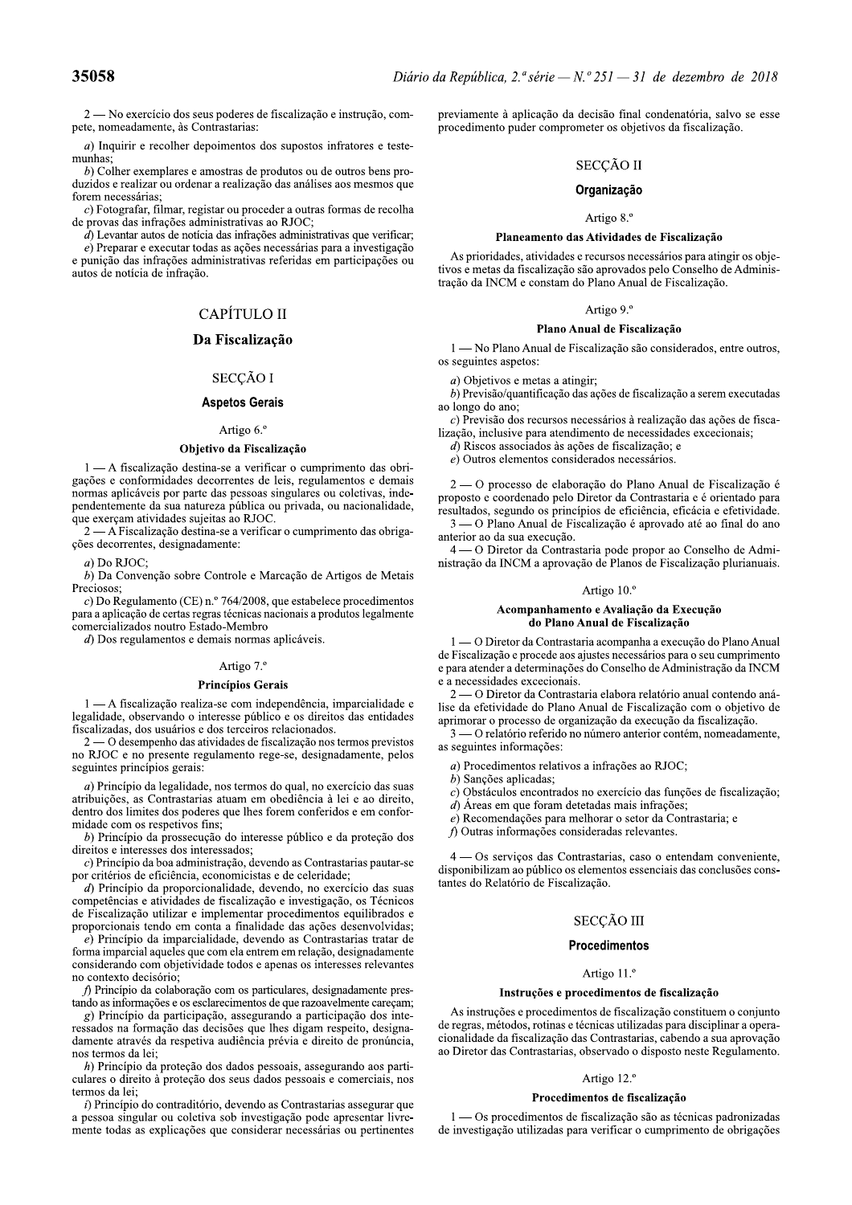**35058**<br>
2—No exercício dos seus poderes de fiscalização e instrução, compreviamente à aplicação da decisão final condenatória, salvo se esse<br>
pete, nomeadamente, às Contrastarias:<br>
a) Inquirir e recolher depoimentos dos

 $e$ ) Preparar e executar todas as ações necessárias para a investigação e punição das infrações administrativas referidas em participações ou autos de notícia de infração.

# CAPÍTULO II

# Da Fiscalização

### SECCÃO I

# Aspetos Gerais

### Artigo 6.º

### Objetivo da Fiscalização

 $1 - A$  fiscalização destina-se a verificar o cumprimento das obrigações e conformidades decorrentes de leis, regulamentos e demais normas aplicáveis por parte das pessoas singulares ou coletivas, independentemente da sua natureza pública ou privada, ou nacionalidade, que exerçam atividades sujeitas ao RJOC.

 $2 - A$  Fiscalização destina-se a verificar o cumprimento das obrigações decorrentes, designadamente:

 $a)$  Do RJOC:

 $\overrightarrow{b}$ ) Da Convenção sobre Controle e Marcação de Artigos de Metais Preciosos:

 $c)$  Do Regulamento (CE) n.º 764/2008, que estabelece procedimentos para a aplicação de certas regras técnicas nacionais a produtos legalmente comercializados noutro Estado-Membro

 $d$ ) Dos regulamentos e demais normas aplicáveis.

### Artigo 7.º

### Princípios Gerais

 $1 - A$  fiscalização realiza-se com independência, imparcialidade e legalidade, observando o interesse público e os direitos das entidades fiscalizadas, dos usuários e dos terceiros relacionados.

 $2$  — O desempenho das atividades de fiscalização nos termos previstos no RJOC e no presente regulamento rege-se, designadamente, pelos seguintes princípios gerais:

 $a)$  Princípio da legalidade, nos termos do qual, no exercício das suas atribuições, as Contrastarias atuam em obediência à lei e ao direito, dentro dos limites dos poderes que lhes forem conferidos e em conformidade com os respetivos fins:

 $b)$  Princípio da prossecução do interesse público e da proteção dos direitos e interesses dos interessados;

 $c)$  Princípio da boa administração, devendo as Contrastarias pautar-se por critérios de eficiência, economicistas e de celeridade;

 $d$ ) Princípio da proporcionalidade, devendo, no exercício das suas competências e atividades de fiscalização e investigação, os Técnicos de Fiscalização utilizar e implementar procedimentos equilibrados e proporcionais tendo em conta a finalidade das ações desenvolvidas;

 $\vec{e}$ ) Princípio da imparcialidade, devendo as Contrastarias tratar de forma imparcial aqueles que com ela entrem em relação, designadamente considerando com objetividade todos e apenas os interesses relevantes no contexto decisório:

f) Princípio da colaboração com os particulares, designadamente prestando as informações e os esclarecimentos de que razoavelmente careçam;

g) Princípio da participação, assegurando a participação dos interessados na formação das decisões que lhes digam respeito, designadamente através da respetiva audiência prévia e direito de pronúncia, nos termos da lei:

 $h$ ) Princípio da proteção dos dados pessoais, assegurando aos particulares o direito à proteção dos seus dados pessoais e comerciais, nos termos da lei;

 $i)$  Princípio do contraditório, devendo as Contrastarias assegurar que a pessoa singular ou coletiva sob investigação pode apresentar livremente todas as explicações que considerar necessárias ou pertinentes previamente à aplicação da decisão final condenatória, salvo se esse procedimento puder comprometer os objetivos da fiscalização.

# SECÇÃO II

# Organização

# Artigo 8.º

### Planeamento das Atividades de Fiscalização

As prioridades, atividades e recursos necessários para atingir os objetivos e metas da fiscalização são aprovados pelo Conselho de Adminis-The seconds are considered as Arividades de Fiscalização<br>
sa de recolha Artigo 8.º<br>
que verificar;<br>
providades, atividades e recursos necessários para atingir os objetivos e metas da fiscalização são aprovados pelo Consel

 $2-0$  processo de elaboração do Plano Anual de Fiscalização é proposto e coordenado pelo Diretor da Contrastaria e é orientado para resultados, segundo os princípios de eficiência, eficácia e efetividade.

3 — O Plano Anual de Fiscalização é aprovado até ao final do ano anterior ao da sua execução.<br>4 — O Diretor da Contrastaria pode propor ao Conselho de Admi-

as nobri<br>
e) Outros elementos considerados necessários.<br>
e) Outros elementos considerados necessários.<br>
en interactions considerados necessários.<br>
interactions are conclenado pelo Diretor da Contrastaria e é orientado par

- 
- 
- $d$ ) Áreas em que foram detetadas mais infrações;
- e) Recomendações para melhorar o setor da Contrastaria; e
- $\hat{A}$  Outras informações consideradas relevantes.

 $4$  — Os servicos das Contrastarias, caso o entendam conveniente. disponibilizam ao público os elementos essenciais das conclusões constantes do Relatório de Fiscalização.

# SECCÃO III

### Procedimentos

# Artigo 11.º

### Instruções e procedimentos de fiscalização

As instruções e procedimentos de fiscalização constituem o conjunto de regras, métodos, rotinas e técnicas utilizadas para disciplinar a operacionalidade da fiscalização das Contrastarias, cabendo a sua aprovação ao Diretor das Contrastarias, observado o disposto neste Regulamento.

### Artigo 12.º

### Procedimentos de fiscalização

- Os procedimentos de fiscalização são as técnicas padronizadas de investigação utilizadas para verificar o cumprimento de obrigações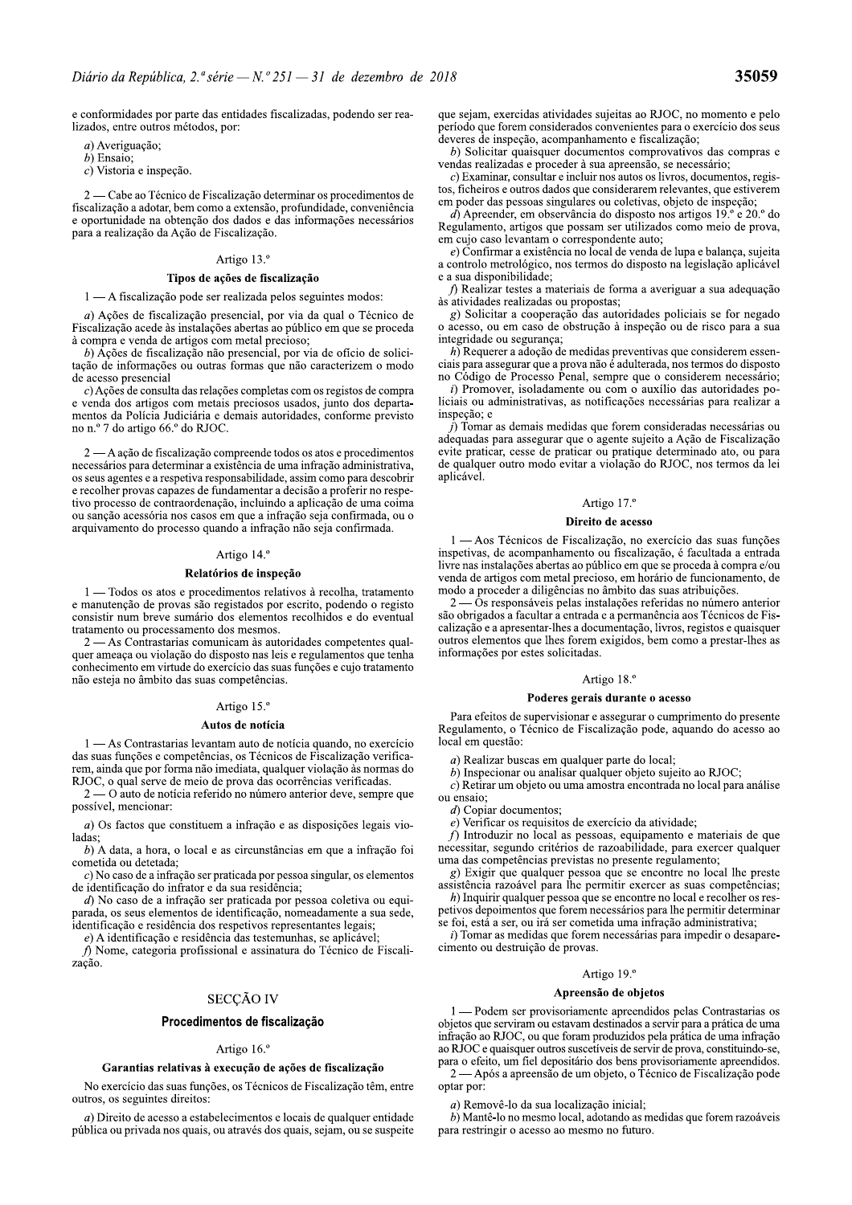e conformidades por parte das entidades fiscalizadas, podendo ser realizados, entre outros métodos, por:

a) Averiguação;

 $h$  Ensaio

 $c)$  Vistoria e inspeção.

2 — Cabe ao Técnico de Fiscalização determinar os procedimentos de fiscalização a adotar, bem como a extensão, profundidade, conveniência e oportunidade na obtenção dos dados e das informações necessários para a realização da Ação de Fiscalização.

### Artigo 13.º

### Tipos de ações de fiscalização

### 1 — A fiscalização pode ser realizada pelos seguintes modos:

a) Ações de fiscalização presencial, por via da qual o Técnico de Fiscalização acede às instalações abertas ao público em que se proceda à compra e venda de artigos com metal precioso;

b) Ações de fiscalização não presencial, por via de ofício de solicitação de informações ou outras formas que não caracterizem o modo de acesso presencial

 $c)$  Ações de consulta das relações completas com os registos de compra e venda dos artigos com metais preciosos usados, junto dos departamentos da Polícia Judiciária e demais autoridades, conforme previsto no n.º 7 do artigo 66.º do RJOC.

2 — A ação de fiscalização compreende todos os atos e procedimentos necessários para determinar a existência de uma infração administrativa, os seus agentes e a respetiva responsabilidade, assim como para descobrir e recolher provas capazes de fundamentar a decisão a proferir no respetivo processo de contraordenação, incluindo a aplicação de uma coima ou sanção acessória nos casos em que a infração seja confirmada, ou o arquivamento do processo quando a infração não seja confirmada.

### Artigo 14.º

### Relatórios de inspeção

1 - Todos os atos e procedimentos relativos à recolha, tratamento e manutenção de provas são registados por escrito, podendo o registo consistir num breve sumário dos elementos recolhidos e do eventual tratamento ou processamento dos mesmos.

- As Contrastarias comunicam às autoridades competentes qualquer ameaça ou violação do disposto nas leis e regulamentos que tenha conhecimento em virtude do exercício das suas funções e cujo tratamento não esteja no âmbito das suas competências.

### Artigo 15.º

### Autos de notícia

1 — As Contrastarias levantam auto de notícia quando, no exercício das suas funções e competências, os Técnicos de Fiscalização verificarem, ainda que por forma não imediata, qualquer violação às normas do RJOC, o qual serve de meio de prova das ocorrências verificadas.

 $2 -$ - O auto de notícia referido no número anterior deve, sempre que possível, mencionar:

 $a)$  Os factos que constituem a infração e as disposições legais violadas:

b) A data, a hora, o local e as circunstâncias em que a infração foi cometida ou detetada;

 $c$ ) No caso de a infração ser praticada por pessoa singular, os elementos de identificação do infrator e da sua residência;

 $d$ ) No caso de a infração ser praticada por pessoa coletiva ou equiparada, os seus elementos de identificação, nomeadamente a sua sede, identificação e residência dos respetivos representantes legais;

e) A identificação e residência das testemunhas, se aplicável

f) Nome, categoria profissional e assinatura do Técnico de Fiscalização.

### **SECCÃO IV**

### Procedimentos de fiscalização

### Artigo 16.º

### Garantias relativas à execução de ações de fiscalização

No exercício das suas funções, os Técnicos de Fiscalização têm, entre outros, os seguintes direitos:

 $a)$  Direito de acesso a estabelecimentos e locais de qualquer entidade pública ou privada nos quais, ou através dos quais, sejam, ou se suspeite que sejam, exercidas atividades sujeitas ao RJOC, no momento e pelo período que forem considerados convenientes para o exercício dos seus deveres de inspeção, acompanhamento e fiscalização;

b) Solicitar quaisquer documentos comprovativos das compras e vendas realizadas e proceder à sua apreensão, se necessário;

 $c$ ) Examinar, consultar e incluir nos autos os livros, documentos, registos, ficheiros e outros dados que considerarem relevantes, que estiverem em poder das pessoas singulares ou coletivas, objeto de inspeção;

 $d)$  Apreender, em observância do disposto nos artigos 19.º e 20.º do Regulamento, artigos que possam ser utilizados como meio de prova, em cujo caso levantam o correspondente auto;

 $e)$  Confirmar a existência no local de venda de lupa e balança, sujeita a controlo metrológico, nos termos do disposto na legislação aplicável e a sua disponibilidade;

f) Realizar testes a materiais de forma a averiguar a sua adequação às atividades realizadas ou propostas;

 $g$ ) Solicitar a cooperação das autoridades policiais se for negado o acesso, ou em caso de obstrução à inspeção ou de risco para a sua integridade ou segurança;

 $h$ ) Requerer a adoção de medidas preventivas que considerem essenciais para assegurar que a prova não é adulterada, nos termos do disposto no Código de Processo Penal, sempre que o considerem necessário;

i) Promover, isoladamente ou com o auxílio das autoridades policiais ou administrativas, as notificações necessárias para realizar a inspeção; e

 $\hat{j}$ ) Tomar as demais medidas que forem consideradas necessárias ou adequadas para assegurar que o agente sujeito a Ação de Fiscalização evite praticar, cesse de praticar ou pratique determinado ato, ou para de qualquer outro modo evitar a violação do RJOC, nos termos da lei aplicável.

### Artigo 17.º

# Direito de acesso

1 - Aos Técnicos de Fiscalização, no exercício das suas funções inspetivas, de acompanhamento ou fiscalização, é facultada a entrada livre nas instalações abertas ao público em que se proceda à compra e/ou venda de artigos com metal precioso, em horário de funcionamento, de modo a proceder a diligências no âmbito das suas atribuições.

 $-\dot{O}s$  responsáveis pelas instalações referidas no número anterior são obrigados a facultar a entrada e a permanência aos Técnicos de Fiscalização e a apresentar-lhes a documentação, livros, registos e quaisquer outros elementos que lhes forem exigidos, bem como a prestar-lhes as informações por estes solicitadas.

### Artigo 18.º

### Poderes gerais durante o acesso

Para efeitos de supervisionar e assegurar o cumprimento do presente Regulamento, o Técnico de Fiscalização pode, aquando do acesso ao local em questão:

 $a)$  Realizar buscas em qualquer parte do local;

b) Inspecionar ou analisar qualquer objeto sujeito ao RJOC;

 $c$ ) Retirar um objeto ou uma amostra encontrada no local para análise ou ensaio;

 $d$ ) Copiar documentos;

 $e$ ) Verificar os requisitos de exercício da atividade;

 $f$ ) Introduzir no local as pessoas, equipamento e materiais de que necessitar, segundo critérios de razoabilidade, para exercer qualquer uma das competências previstas no presente regulamento;

 $g$ ) Exigir que qualquer pessoa que se encontre no local lhe preste assistência razoável para lhe permitir exercer as suas competências;

h) Inquirir qualquer pessoa que se encontre no local e recolher os respetivos depoimentos que forem necessários para lhe permitir determinar se foi, está a ser, ou irá ser cometida uma infração administrativa;

i) Tomar as medidas que forem necessárias para impedir o desaparecimento ou destruição de provas.

### Artigo 19.º

### Apreensão de objetos

1 — Podem ser provisoriamente apreendidos pelas Contrastarias os objetos que serviram ou estavam destinados a servir para a prática de uma infração ao RJOC, ou que foram produzidos pela prática de uma infração ao RJOC e quaisquer outros suscetíveis de servir de prova, constituindo-se, a various de la depositário dos bens provisoriamente apreendidos.<br>
2 — Após a apreensão de um objeto, o Técnico de Fiscalização pode optar por:

a) Removê-lo da sua localização inicial;

 $b)$  Mantê-lo no mesmo local, adotando as medidas que forem razoáveis para restringir o acesso ao mesmo no futuro.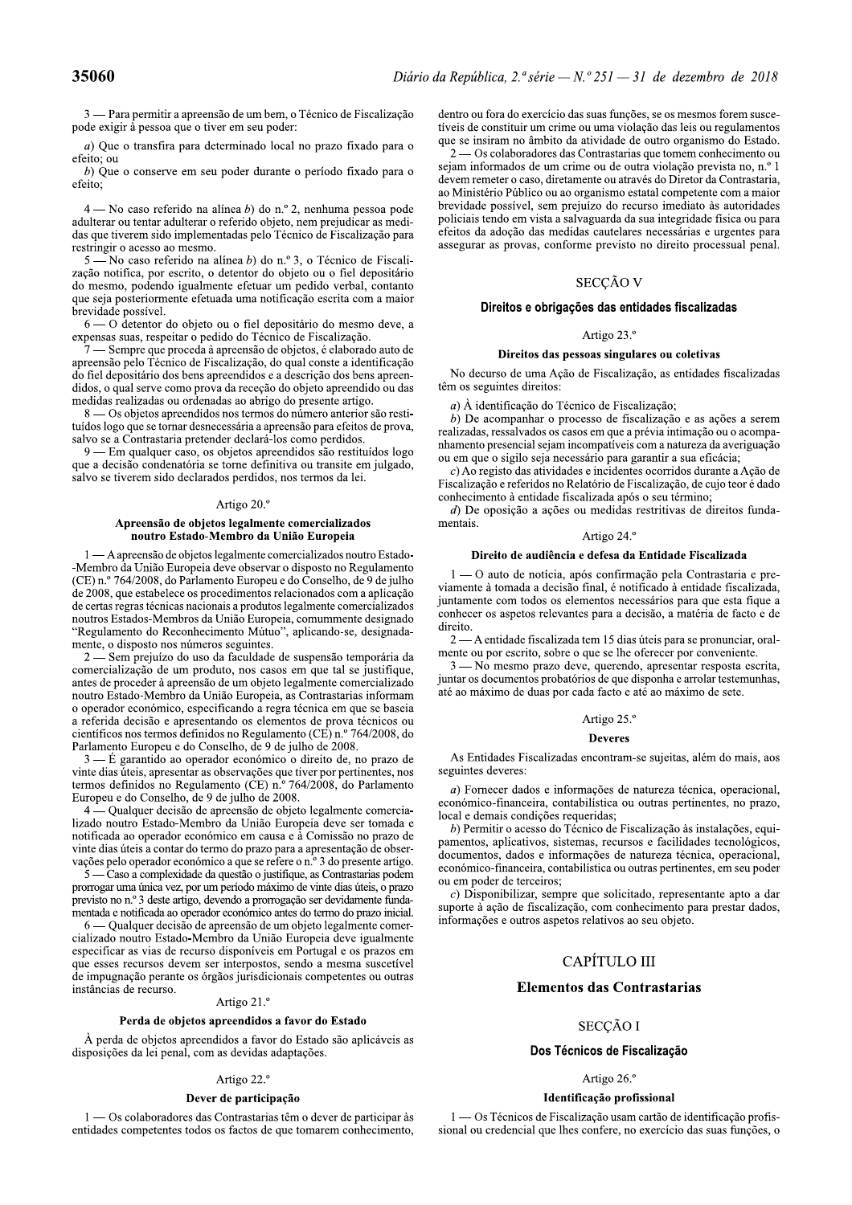restringir o acesso ao mesmo.

 $5-\text{No}$  caso referido na alínea b) do n.º 3, o Técnico de Fiscalização notifica, por escrito, o detentor do objeto ou o fiel depositário do mesmo, podendo igualmente efetuar um pedido verbal, contanto que seja posteriormente efetuada uma notificação escrita com a maior brevidade possível.

 $6$   $-$  O detentor do objeto ou o fiel depositário do mesmo deve, a expensas suas, respeitar o pedido do Técnico de Fiscalização.

 $\overline{Z}$  Sempre que proceda à apreensão de objetos, é elaborado auto de apreensão pelo Técnico de Fiscalização, do qual conste a identificação  $\overrightarrow{3}$ o fiel depositário dos bens apreendidos e a descrição dos bens apreendidos, o qual serve como prova da receção do objeto apreendido ou das medidas realizadas ou ordenadas ao abrigo do presente artigo.

 $8$  — Os objetos apreendidos nos termos do número anterior são restituídos logo que se tornar desnecessária a apreensão para efeitos de prova, salvo se a Contrastaria pretender declará-los como perdidos.

9 — Em qualquer caso, os objetos apreendidos são restituídos logo que a decisão condenatória se torne definitiva ou transite em julgado, salvo se tiverem sido declarados perdidos, nos termos da lei.

### Artigo  $20.$ <sup>o</sup>

### Apreensão de objetos legalmente comercializados noutro Estado-Membro da União Europeia

 $1$  — A apreensão de objetos legalmente comercializados noutro Estado-Membro da União Europeia deve observar o disposto no Regulamento que a decisao condenatoria se torne definitiva ou transite em juigado,<br>salvo se tiverem sido declarados perdidos, nos termos da lei.<br>Artigo 20.º<br>**Apreensão de objetos legalmente comercializados**<br>**noutro Estado-Membro da Un** 

o operador económico, especificando a regra técnica em que se baseia a referida decisão e apresentando os elementos de prova técnicos ou científicos nos termos definidos no Regulamento (CE) n.º 764/2008, do "Regulamento do Reconhecimento Mutuo", aplicando-se, designada-<br>
mente o disposto nos números seguintes.<br>
2 — A<br>
comercializzado de um produto, nos casos em que tal se justifuque,<br>
antes de proceder à apreensão de um obje

mentada e notificada ao operador económico antes do termo do prazo inicial.

 $6$  — Qualquer decisão de apreensão de um objeto legalmente comercializado noutro Estado-Membro da União Europeia deve igualmente notificada ao operador económico em causa e á Comissão no prazo de<br>vinte dias úteis a contar do termo do prazo para a apresentação de obser-<br>vações pelo operador económico a que se refere o n.<sup>o</sup> 3 do presente artigo.<br>S —

### Artigo 22.º

# Dever de participação

 $1 - 0$ s colaboradores das Contrastarias têm o dever de participar às  $-$ entidades competentes todos os factos de que tomarem conhecimento.

dentro ou fora do exercício das suas funções, se os mesmos forem suscetíveis de constituir um crime ou uma violação das leis ou regulamentos que se insiram no âmbito da atividade de outro organismo do Estado.

**35060**<br> **25060**<br> **25060**<br> **251 251 251 251 251 251 251 251 251 251 251 251 251 251 251 251 251 251 251 251 251 251 251 251 251 251 251 251 251 251 251 251 2**  $2$  — Os colaboradores das Contrastarias que tomem conhecimento ou sejam informados de um crime ou de outra violação prevista no, n.º 1 devem remeter o caso, diretamente ou através do Diretor da Contrastaria, Diario da Republica, 2." serie  $- N$ ."  $251 - 51$  de dezembro de 2018<br>
ização dentro ou fora do exercício das suas funções, se os mesmos forem susce-<br>
tíveis de constituir um crime ou uma violação das leis ou regulamentos<br>

### Artigo 23.º

### Direitos das pessoas singulares ou coletivas

No decurso de uma Ação de Fiscalização, as entidades fiscalizadas têm os seguintes direitos:

 $a)$  À identificação do Técnico de Fiscalização;

 $\overrightarrow{b}$ ) De acompanhar o processo de fiscalização e as ações a serem realizadas, ressalvados os casos em que a prévia intimação ou o acompanhamento presencial sejam incompatíveis com a natureza da averiguação ou em que o sigilo seja necessário para garantir a sua eficácia;

 $c)$  Ao registo das atividades e incidentes ocorridos durante a Acão de Fiscalização e referidos no Relatório de Fiscalização, de cujo teor é dado conhecimento à entidade fiscalizada após o seu término;

 $d$ ) De oposição a ações ou medidas restritivas de direitos fundamentais.

# Artigo 24.º

### Direito de audiência e defesa da Entidade Fiscalizada

 $1 - 0$  auto de notícia, após confirmação pela Contrastaria e previamente à tomada a decisão final, é notificado à entidade fiscalizada, juntamente com todos os elementos necessários para que esta fique a conhecer os aspetos relevantes para a decisão, a matéria de facto e de direito.

 $2-A$  entidade fiscalizada tem 15 dias úteis para se pronunciar, oralmente ou por escrito, sobre o que se lhe oferecer por conveniente.

 $3$  - No mesmo prazo deve, querendo, apresentar resposta escrita, juntar os documentos probatórios de que disponha e arrolar testemunhas, até ao máximo de duas por cada facto e até ao máximo de sete.

### Artigo 25.º

### Deveres

As Entidades Fiscalizadas encontram-se sujeitas, além do mais, aos seguintes deveres:

a) Fornecer dados e informações de natureza técnica, operacional, económico-financeira, contabilística ou outras pertinentes, no prazo, local e demais condições requeridas;

valúcios ou Artigo 25.<sup>o</sup><br>  $\sqrt{10442008}$ , de As Entidades Fiscalizadas encontram-se sujeitas, além do mais, aos<br>
encinentes, nos equintes deveres:<br>
do Parlamento apendione-financeira, contabilistica ou outras pertinentes

sional ou credencial que lhes confere, no exercício das suas funções, o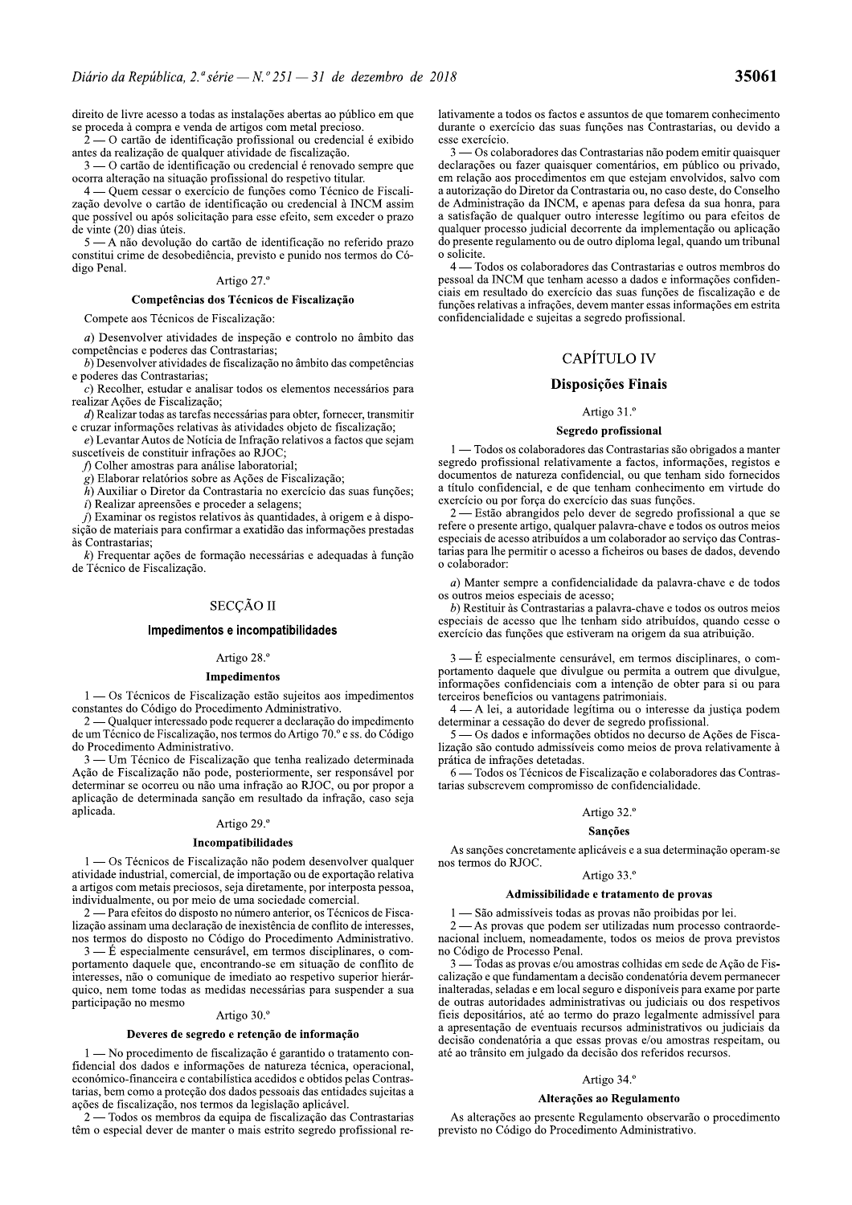direito de livre acesso a todas as instalações abertas ao público em que se proceda à compra e venda de artigos com metal precioso

- O cartão de identificação profissional ou credencial é exibido antes da realização de qualquer atividade de fiscalização.

 $3 - 0$  cartão de identificação ou credencial é renovado sempre que ocorra alteração na situação profissional do respetivo titular.

- Quem cessar o exercício de funções como Técnico de Fiscalização devolve o cartão de identificação ou credencial à INCM assim que possível ou após solicitação para esse efeito, sem exceder o prazo de vinte (20) dias úteis.

 $5 - A$  não devolução do cartão de identificação no referido prazo constitui crime de desobediência, previsto e punido nos termos do Código Penal.

### Artigo 27.º

### Competências dos Técnicos de Fiscalização

Compete aos Técnicos de Fiscalização:

 $a)$  Desenvolver atividades de inspeção e controlo no âmbito das competências e poderes das Contrastarias;

b) Desenvolver atividades de fiscalização no âmbito das competências e poderes das Contrastarias:

 $c)$  Recolher, estudar e analisar todos os elementos necessários para realizar Ações de Fiscalização;

 $d$ ) Realizar todas as tarefas necessárias para obter, fornecer, transmitir e cruzar informações relativas às atividades objeto de fiscalização;

 $e$ ) Levantar Autos de Notícia de Infração relativos a factos que sejam suscetíveis de constituir infrações ao RJOC;

f) Colher amostras para análise laboratorial;

 $(g)$  Elaborar relatórios sobre as Ações de Fiscalização;

 $\tilde{h}$ ) Auxiliar o Diretor da Contrastaria no exercício das suas funções; *i*) Realizar apreensões e proceder a selagens;

*j*) Examinar os registos relativos às quantidades, à origem e à disposição de materiais para confirmar a exatidão das informações prestadas às Contrastarias:

 $k$ ) Frequentar ações de formação necessárias e adequadas à função de Técnico de Fiscalização.

# **SECCÃO II**

### Impedimentos e incompatibilidades

### Artigo 28.º

### Impedimentos

 $1 - 0s$  Técnicos de Fiscalização estão sujeitos aos impedimentos constantes do Código do Procedimento Administrativo.

2 — Qualquer interessado pode requerer a declaração do impedimento de um Técnico de Fiscalização, nos termos do Artigo 70.º e ss. do Código do Procedimento Administrativo.

3 — Um Técnico de Fiscalização que tenha realizado determinada Ação de Fiscalização não pode, posteriormente, ser responsável por determinar se ocorreu ou não uma infração ao RJOC, ou por propor a aplicação de determinada sanção em resultado da infração, caso seja aplicada.

## Artigo 29.º

### Incompatibilidades

1 - Os Técnicos de Fiscalização não podem desenvolver qualquer atividade industrial, comercial, de importação ou de exportação relativa a artigos com metais preciosos, seja diretamente, por interposta pessoa, individualmente, ou por meio de uma sociedade comercial.

2 — Para efeitos do disposto no número anterior, os Técnicos de Fiscalização assinam uma declaração de inexistência de conflito de interesses, nos termos do disposto no Código do Procedimento Administrativo.

 $3 - \dot{E}$  especialmente censurável, em termos disciplinares, o comportamento daquele que, encontrando-se em situação de conflito de interesses, não o comunique de imediato ao respetivo superior hierárquico, nem tome todas as medidas necessárias para suspender a sua participação no mesmo

### Artigo 30.º

### Deveres de segredo e retenção de informação

1 — No procedimento de fiscalização é garantido o tratamento confidencial dos dados e informações de natureza técnica, operacional, económico-financeira e contabilística acedidos e obtidos pelas Contrastarias, bem como a proteção dos dados pessoais das entidades sujeitas a ações de fiscalização, nos termos da legislação aplicável.

- Todos os membros da equipa de fiscalização das Contrastarias têm o especial dever de manter o mais estrito segredo profissional relativamente a todos os factos e assuntos de que tomarem conhecimento durante o exercício das suas funções nas Contrastarias, ou devido a esse exercício.

3 — Os colaboradores das Contrastarias não podem emitir quaisquer declarações ou fazer quaisquer comentários, em público ou privado, em relação aos procedimentos em que estejam envolvidos, salvo com a autorização do Diretor da Contrastaria ou, no caso deste, do Conselho de Administração da INCM, e apenas para defesa da sua honra, para a satisfação de qualquer outro interesse legítimo ou para efeitos de qualquer processo judicial decorrente da implementação ou aplicação do presente regulamento ou de outro diploma legal, quando um tribunal o solicite.

- Todos os colaboradores das Contrastarias e outros membros do  $\overline{4}$ pessoal da INCM que tenham acesso a dados e informações confidenciais em resultado do exercício das suas funções de fiscalização e de funções relativas a infrações, devem manter essas informações em estrita confidencialidade e sujeitas a segredo profissional.

# **CAPÍTULO IV**

### Disposições Finais

### Artigo 31.º

### Segredo profissional

- Todos os colaboradores das Contrastarias são obrigados a manter segredo profissional relativamente a factos, informações, registos e documentos de natureza confidencial, ou que tenham sido fornecidos a título confidencial, e de que tenham conhecimento em virtude do exercício ou por força do exercício das suas funções.

2 — Estão abrangidos pelo dever de segredo profissional a que se refere o presente artigo, qualquer palavra-chave e todos os outros meios especiais de acesso atribuídos a um colaborador ao serviço das Contrastarias para lhe permitir o acesso a ficheiros ou bases de dados, devendo o colaborador:

 $a)$  Manter sempre a confidencialidade da palavra-chave e de todos os outros meios especiais de acesso;

 $b)$  Restituir às Contrastarias a palavra-chave e todos os outros meios especiais de acesso que lhe tenham sido atribuídos, quando cesse o exercício das funções que estiveram na origem da sua atribuição.

3 — É especialmente censurável, em termos disciplinares, o comportamento daquele que divulgue ou permita a outrem que divulgue, informações confidenciais com a intenção de obter para si ou para terceiros benefícios ou vantagens patrimoniais.

- A lei, a autoridade legítima ou o interesse da justiça podem determinar a cessação do dever de segredo profissional.

- Os dados e informações obtidos no decurso de Ações de Fiscalização são contudo admissíveis como meios de prova relativamente à prática de infrações detetadas.

- Todos os Técnicos de Fiscalização e colaboradores das Contrastarias subscrevem compromisso de confidencialidade.

# Artigo 32.º

### Sancões

As sanções concretamente aplicáveis e a sua determinação operam-se nos termos do RJOC.

# Artigo 33.º

### Admissibilidade e tratamento de provas

1 — São admissíveis todas as provas não proibidas por lei.

- As provas que podem ser utilizadas num processo contraordenacional incluem, nomeadamente, todos os meios de prova previstos no Código de Processo Penal.

- Todas as provas e/ou amostras colhidas em sede de Ação de Fiscalização e que fundamentam a decisão condenatória devem permanecer inalteradas, seladas e em local seguro e disponíveis para exame por parte de outras autoridades administrativas ou judiciais ou dos respetivos fieis depositários, até ao termo do prazo legalmente admissível para a apresentação de eventuais recursos administrativos ou judiciais da decisão condenatória a que essas provas e/ou amostras respeitam, ou até ao trânsito em julgado da decisão dos referidos recursos.

### Artigo 34.º

### Alterações ao Regulamento

As alterações ao presente Regulamento observarão o procedimento previsto no Código do Procedimento Administrativo.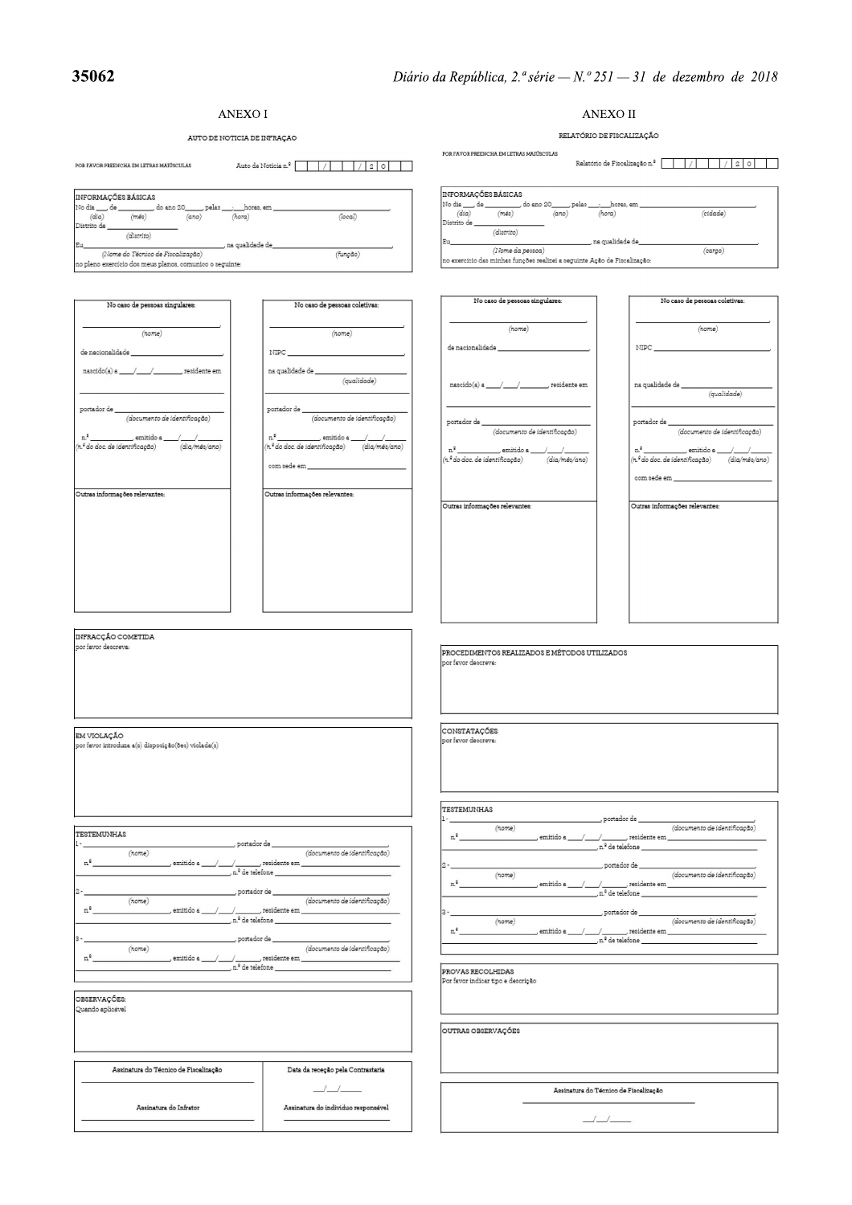# **ANEXOI**

Assinatura do Infrator

Assinatura do individuo responsável

# **ANEXO II**

 $\frac{1}{\sqrt{2}}$ 

RELATÓRIO DE FISCALIZAÇÃO AUTO DE NOTICIA DE INFRAÇÃO POR FAVOR PREENCHA EM LETRAS MAIÚSCULAS POR FAVOR PREENCHA EM LETRAS MAIÚSCULAS INFORMACÓES BÁSICAS INFORMAÇÕES BÁSICAS No dia \_\_\_\_, de \_\_\_\_\_\_\_\_\_, do ano 20\_\_\_\_\_, pelas \_\_\_\_<br>(dia)  $\frac{1}{(a\alpha)}$ horas, em \_ No dia \_\_\_\_\_ de \_\_\_\_\_\_\_\_\_\_, do ano 20\_\_\_\_\_, pelas \_\_\_\_<br>(dia)  $\frac{1}{(a\alpha)}$ horas, em  $\frac{1}{(\hbar or a)}$  $(cidade)$  $(hora)$ (local) etrito de \_\_ Distrito de  $(distrib)$ (distrito) , na qualidade de \_\_\_\_\_\_\_, na qualidade de\_\_\_\_\_ Eu (Nome da pessoa) (cargo)  $(None\ do\ Tecnico\ de\ Fiscalização)$ (função) no exercício das minhas funções realizei a seguinte Ação de Fiscalização: no pleno exercício dos meus planos, comunico o seguinte No caso de pessoas singulares: No caso de pessoas coletivas: No caso de pessoas singulares: No caso de pessoas coletivas  $(nome)$  $(nome)$  $(nome)$  $(nome)$ de nacionalidade \_  $\rm NIPC$ de nacionalidade \_\_  $\ensuremath{\text{NIPC}}$ na qualidade de \_\_\_\_\_\_ (qualidade)  $\mathtt{nascido(a) a \_\_\_\_\_\_\_\_\_\_\_\_\_\_\_\_\_\_}$ , residente em na qualidade de $\_$  $(qualidade)$ portador de  $\label{eq:2} (documento~de~identity~cap~do)$ portador de <br> $\label{eq:2} (document to \: de\: identificaçdo)$ portador de  $\_$ portador de (documento de identificação) (documento de identificação) \_ emitido a \_\_\_/\_ emitido a \_\_\_\_ (n.º do doc. de identificação) (dia/mês/ano)  $\overline{h^2}$ do doc. de identificação)  $\overline{di\alpha/m}$ ês/ano) com sede em com sede em \_\_ Outras informações relevantes: Outras informações relevantes: Outras informações relevantes: Outras informações relevantes: INFRACCÃO COMETIDA por favor descreva: PROCEDIMENTOS REALIZADOS E MÉTODOS UTILIZADOS por favor descreva CONSTATAÇÕES EM VIOLAÇÃO por favor descreva .<br>por favor introduza a(s) disposição(ões) violada(s) TESTEMUNHAS , portador de \_  $\overbrace{(\text{document to de identificação})}$  $(nome)$ **TESTEMUNHAS**  $\rm n^{\,0}$ \_, residente em \_  $emitido a / /$ , portador de  $\overline{\phantom{a}}$ , n.º de telefone  $\overline{\phantom{a}}$ (documento de identificação)  $(nome)$  $n^2$ , portador de  $(nome)$  $\left(documento\ de\ identificação\right)$ .<br>\_ residente em \_  $\mathfrak{n}^{\mathfrak{g}}$ , emitido a  $/$  / , portador de \_ (documento de identificação)  $(nome)$  ${\tt n}^{\tt o}$ emitido a , residente em , portador de  $\frac{1}{2}$  n.º de telefone  $\frac{1}{2}$  $(nome)$ (documento de identificação) \_\_/ \_\_\_\_ , residente em .<br>\_ , n.º de telefone \_\_\_\_\_\_\_\_\_  $n^2$ , emitido a  $\sqrt{2}$ ortador de \_ (documento de identificação)  $(nome)$  $n^2$ . emitido a \_ PROVAS RECOLHIDAS or favor indicar tipo e descrição OBSERVACÓES-Quando aplicável OUTRAS ORSERVAÇÕES Assinatura do Técnico de Fiscalização Data da receção pela Contrastaria  $\frac{1}{2}$ Assinatura do Técnico de Fiscalização